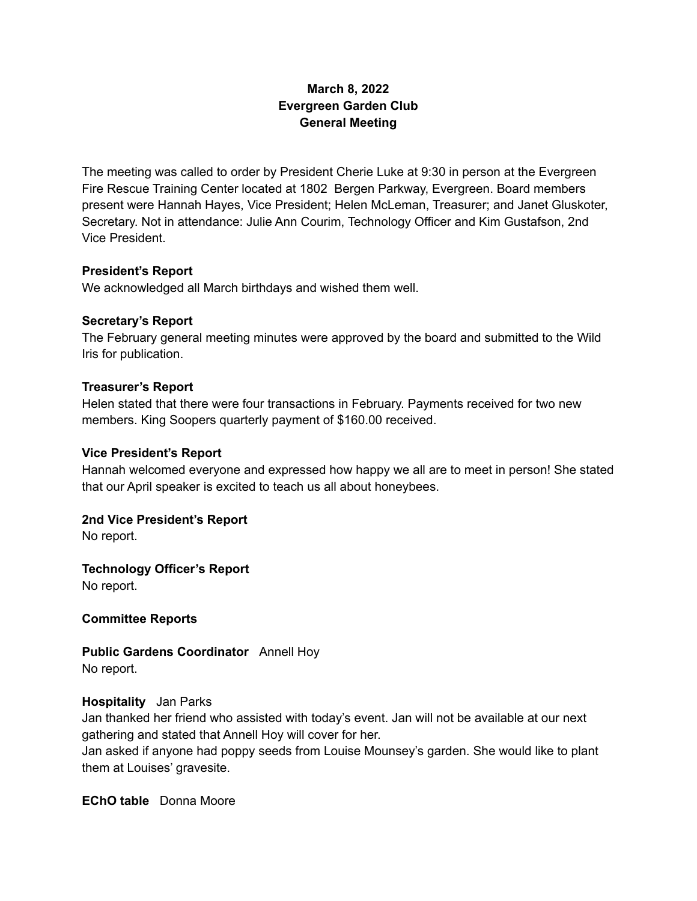# **March 8, 2022 Evergreen Garden Club General Meeting**

The meeting was called to order by President Cherie Luke at 9:30 in person at the Evergreen Fire Rescue Training Center located at 1802 Bergen Parkway, Evergreen. Board members present were Hannah Hayes, Vice President; Helen McLeman, Treasurer; and Janet Gluskoter, Secretary. Not in attendance: Julie Ann Courim, Technology Officer and Kim Gustafson, 2nd Vice President.

## **President's Report**

We acknowledged all March birthdays and wished them well.

#### **Secretary's Report**

The February general meeting minutes were approved by the board and submitted to the Wild Iris for publication.

#### **Treasurer's Report**

Helen stated that there were four transactions in February. Payments received for two new members. King Soopers quarterly payment of \$160.00 received.

#### **Vice President's Report**

Hannah welcomed everyone and expressed how happy we all are to meet in person! She stated that our April speaker is excited to teach us all about honeybees.

## **2nd Vice President's Report**

No report.

**Technology Officer's Report**

No report.

## **Committee Reports**

**Public Gardens Coordinator** Annell Hoy

No report.

## **Hospitality** Jan Parks

Jan thanked her friend who assisted with today's event. Jan will not be available at our next gathering and stated that Annell Hoy will cover for her.

Jan asked if anyone had poppy seeds from Louise Mounsey's garden. She would like to plant them at Louises' gravesite.

**EChO table** Donna Moore